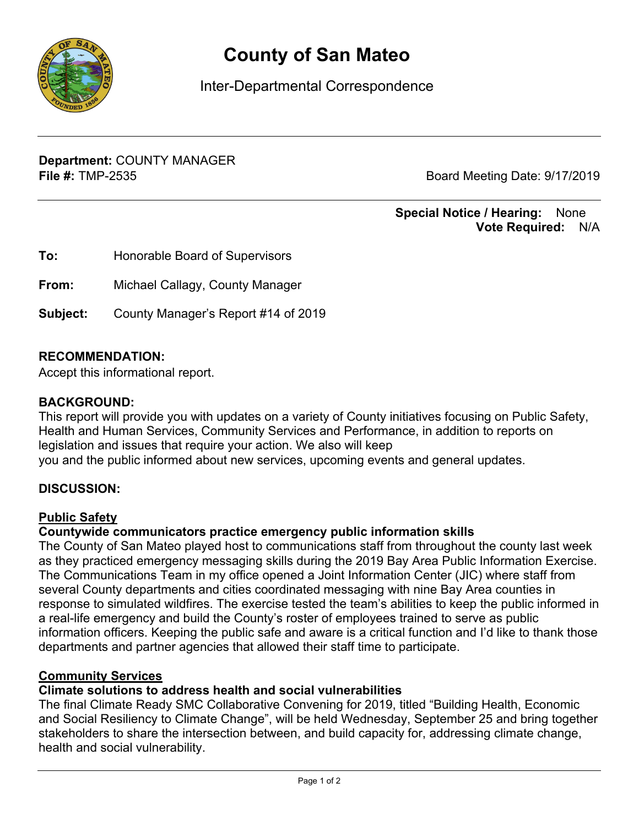

# County of San Mateo

Inter-Departmental Correspondence

Department: COUNTY MANAGER File #: TMP-2535 Board Meeting Date: 9/17/2019

#### Special Notice / Hearing: None Vote Required: N/A

| To:      | Honorable Board of Supervisors      |
|----------|-------------------------------------|
| From:    | Michael Callagy, County Manager     |
| Subject: | County Manager's Report #14 of 2019 |

### RECOMMENDATION:

Accept this informational report.

#### BACKGROUND:

This report will provide you with updates on a variety of County initiatives focusing on Public Safety, Health and Human Services, Community Services and Performance, in addition to reports on legislation and issues that require your action. We also will keep you and the public informed about new services, upcoming events and general updates.

#### DISCUSSION:

#### Public Safety

#### Countywide communicators practice emergency public information skills

The County of San Mateo played host to communications staff from throughout the county last week as they practiced emergency messaging skills during the 2019 Bay Area Public Information Exercise. The Communications Team in my office opened a Joint Information Center (JIC) where staff from several County departments and cities coordinated messaging with nine Bay Area counties in response to simulated wildfires. The exercise tested the team's abilities to keep the public informed in a real-life emergency and build the County's roster of employees trained to serve as public information officers. Keeping the public safe and aware is a critical function and I'd like to thank those departments and partner agencies that allowed their staff time to participate.

#### Community Services

#### Climate solutions to address health and social vulnerabilities

The final Climate Ready SMC Collaborative Convening for 2019, titled "Building Health, Economic and Social Resiliency to Climate Change", will be held Wednesday, September 25 and bring together stakeholders to share the intersection between, and build capacity for, addressing climate change, health and social vulnerability.